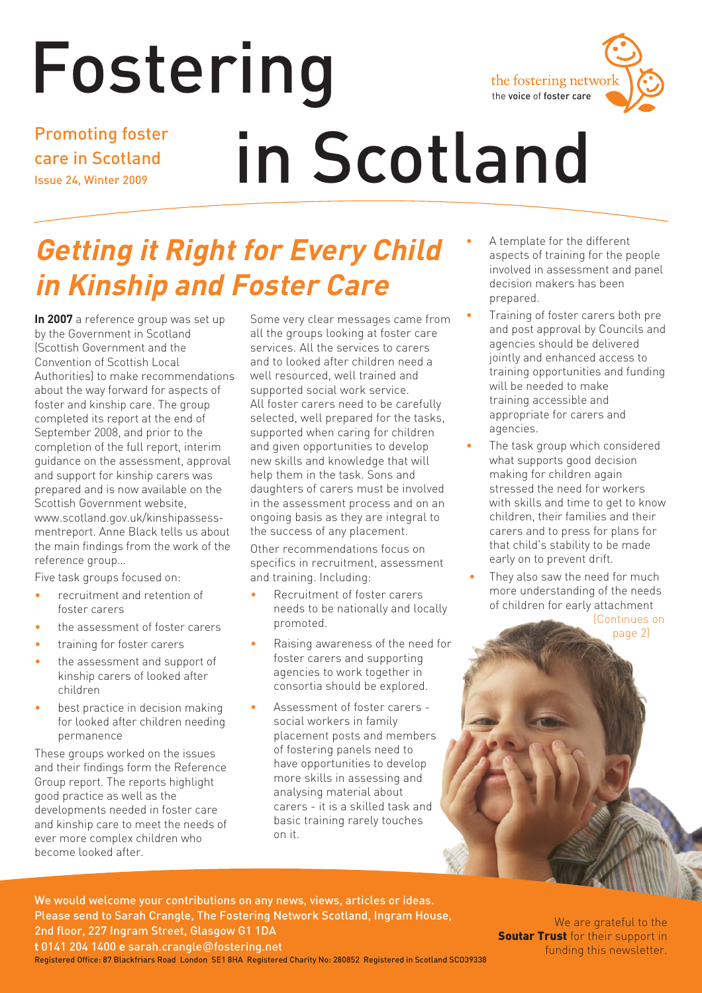# **Getting it Right for Every Child in Kinship and Foster Care**

**In 2007** a reference group was set up by the Government in Scotland (Scottish Government and the Convention of Scottish Local Authorities) to make recommendations about the way forward for aspects of foster and kinship care. The group completed its report at the end of September 2008, and prior to the completion of the full report, interim guidance on the assessment, approval and support for kinship carers was prepared and is now available on the Scottish Government website, www.scotland.gov.uk/kinshipassessmentreport. Anne Black tells us about the main findings from the work of the reference group…

Five task groups focused on:

- recruitment and retention of foster carers
- the assessment of foster carers
- training for foster carers
- the assessment and support of kinship carers of looked after children
- best practice in decision making for looked after children needing permanence

These groups worked on the issues and their findings form the Reference Group report. The reports highlight good practice as well as the developments needed in foster care and kinship care to meet the needs of ever more complex children who become looked after.

Some very clear messages came from all the groups looking at foster care services. All the services to carers and to looked after children need a well resourced, well trained and supported social work service. All foster carers need to be carefully selected, well prepared for the tasks, supported when caring for children and given opportunities to develop new skills and knowledge that will help them in the task. Sons and daughters of carers must be involved in the assessment process and on an ongoing basis as they are integral to the success of any placement.

Other recommendations focus on specifics in recruitment, assessment and training. Including:

- Recruitment of foster carers needs to be nationally and locally promoted.
- Raising awareness of the need for foster carers and supporting agencies to work together in consortia should be explored.
- Assessment of foster carers social workers in family placement posts and members of fostering panels need to have opportunities to develop more skills in assessing and analysing material about carers - it is a skilled task and basic training rarely touches on it.
- A template for the different aspects of training for the people involved in assessment and panel decision makers has been prepared.
- Training of foster carers both pre and post approval by Councils and agencies should be delivered jointly and enhanced access to training opportunities and funding will be needed to make training accessible and appropriate for carers and agencies.
- The task group which considered what supports good decision making for children again stressed the need for workers with skills and time to get to know children, their families and their carers and to press for plans for that child's stability to be made early on to prevent drift.
- They also saw the need for much more understanding of the needs of children for early attachment

We are grateful to the **Soutar Trust** for their support in funding this newsletter.

2nd floor, 227 Ingram Street, Glasgow G1 1DA **t** 0141 204 1400 **e** sarah.crangle@fostering.net Registered Office: 87 Blackfriars Road London SE1 8HA Registered Charity No: 280852 Registered in Scotland SCO39338

We would welcome your contributions on any news, views, articles or ideas. Please send to Sarah Crangle, The Fostering Network Scotland, Ingram House,



Fostering in Scotland Promoting foster

care in Scotland Issue 24, Winter 2009

<sup>(</sup>Continues on page 2)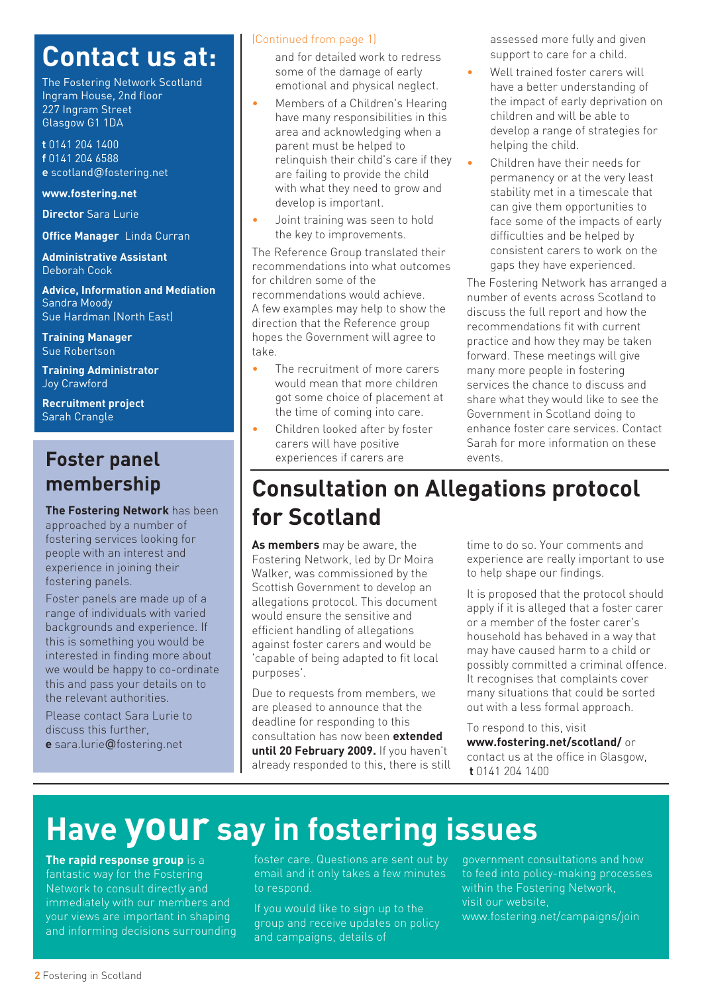## **Contact us at:**

The Fostering Network Scotland Ingram House, 2nd floor 227 Ingram Street Glasgow G1 1DA

**t** 0141 204 1400 **f** 0141 204 6588 **e** scotland@fostering.net

**www.fostering.net**

**Director** Sara Lurie

**Office Manager** Linda Curran

**Administrative Assistant**  Deborah Cook

**Advice, Information and Mediation**  Sandra Moody Sue Hardman (North East)

**Training Manager** Sue Robertson

**Training Administrator**  Joy Crawford

**Recruitment project**  Sarah Crangle

### **Foster panel membership**

**The Fostering Network** has been approached by a number of fostering services looking for people with an interest and experience in joining their fostering panels.

Foster panels are made up of a range of individuals with varied backgrounds and experience. If this is something you would be interested in finding more about we would be happy to co-ordinate this and pass your details on to the relevant authorities.

Please contact Sara Lurie to discuss this further, **e** sara.lurie@fostering.net

#### (Continued from page 1)

and for detailed work to redress some of the damage of early emotional and physical neglect.

- Members of a Children's Hearing have many responsibilities in this area and acknowledging when a parent must be helped to relinquish their child's care if they are failing to provide the child with what they need to grow and develop is important.
- Joint training was seen to hold the key to improvements.

The Reference Group translated their recommendations into what outcomes for children some of the recommendations would achieve. A few examples may help to show the direction that the Reference group hopes the Government will agree to take.

- The recruitment of more carers would mean that more children got some choice of placement at the time of coming into care.
- Children looked after by foster carers will have positive experiences if carers are

assessed more fully and given support to care for a child.

- Well trained foster carers will have a better understanding of the impact of early deprivation on children and will be able to develop a range of strategies for helping the child.
- Children have their needs for permanency or at the very least stability met in a timescale that can give them opportunities to face some of the impacts of early difficulties and be helped by consistent carers to work on the gaps they have experienced.

The Fostering Network has arranged a number of events across Scotland to discuss the full report and how the recommendations fit with current practice and how they may be taken forward. These meetings will give many more people in fostering services the chance to discuss and share what they would like to see the Government in Scotland doing to enhance foster care services. Contact Sarah for more information on these events.

### **Consultation on Allegations protocol for Scotland**

**As members** may be aware, the Fostering Network, led by Dr Moira Walker, was commissioned by the Scottish Government to develop an allegations protocol. This document would ensure the sensitive and efficient handling of allegations against foster carers and would be 'capable of being adapted to fit local purposes'.

Due to requests from members, we are pleased to announce that the deadline for responding to this consultation has now been **extended until 20 February 2009.** If you haven't already responded to this, there is still time to do so. Your comments and experience are really important to use to help shape our findings.

It is proposed that the protocol should apply if it is alleged that a foster carer or a member of the foster carer's household has behaved in a way that may have caused harm to a child or possibly committed a criminal offence. It recognises that complaints cover many situations that could be sorted out with a less formal approach.

To respond to this, visit

**www.fostering.net/scotland/** or contact us at the office in Glasgow, **t** 0141 204 1400

# **Have your say in fostering issues**

**The rapid response group** is a fantastic way for the Fostering Network to consult directly and immediately with our members and your views are important in shaping and informing decisions surrounding foster care. Questions are sent out by email and it only takes a few minutes to respond.

If you would like to sign up to the group and receive updates on policy and campaigns, details of

government consultations and how to feed into policy-making processes within the Fostering Network, visit our website, www.fostering.net/campaigns/join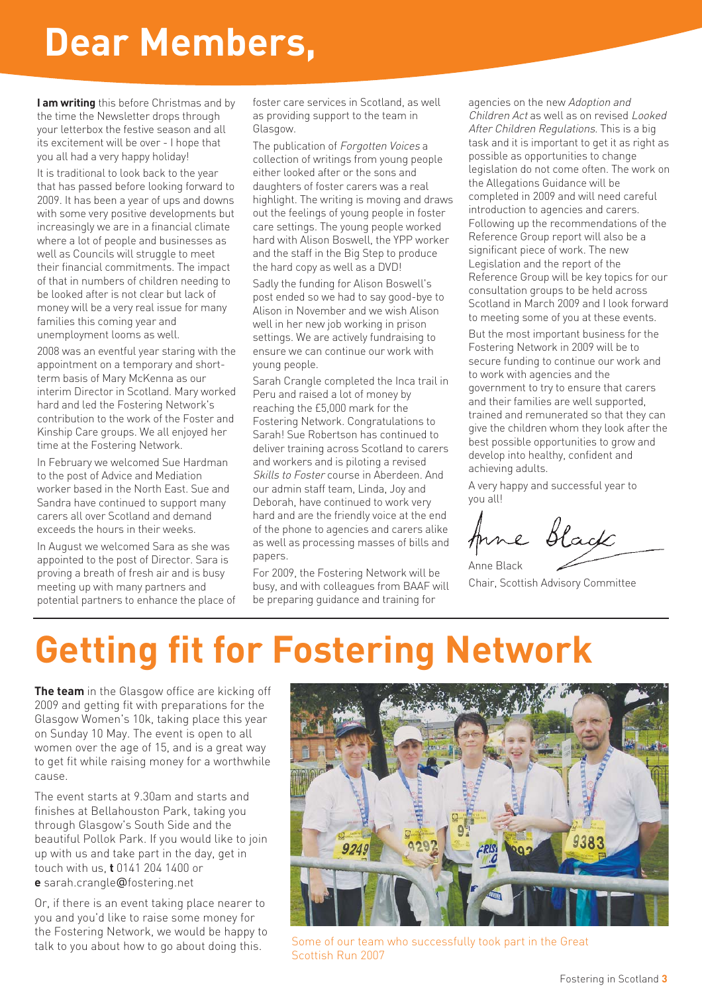# **Dear Members,**

**I am writing** this before Christmas and by the time the Newsletter drops through your letterbox the festive season and all its excitement will be over - I hope that you all had a very happy holiday!

It is traditional to look back to the year that has passed before looking forward to 2009. It has been a year of ups and downs with some very positive developments but increasingly we are in a financial climate where a lot of people and businesses as well as Councils will struggle to meet their financial commitments. The impact of that in numbers of children needing to be looked after is not clear but lack of money will be a very real issue for many families this coming year and unemployment looms as well.

2008 was an eventful year staring with the appointment on a temporary and shortterm basis of Mary McKenna as our interim Director in Scotland. Mary worked hard and led the Fostering Network's contribution to the work of the Foster and Kinship Care groups. We all enjoyed her time at the Fostering Network.

In February we welcomed Sue Hardman to the post of Advice and Mediation worker based in the North East. Sue and Sandra have continued to support many carers all over Scotland and demand exceeds the hours in their weeks.

In August we welcomed Sara as she was appointed to the post of Director. Sara is proving a breath of fresh air and is busy meeting up with many partners and potential partners to enhance the place of foster care services in Scotland, as well as providing support to the team in Glasgow.

The publication of Forgotten Voices a collection of writings from young people either looked after or the sons and daughters of foster carers was a real highlight. The writing is moving and draws out the feelings of young people in foster care settings. The young people worked hard with Alison Boswell, the YPP worker and the staff in the Big Step to produce the hard copy as well as a DVD!

Sadly the funding for Alison Boswell's post ended so we had to say good-bye to Alison in November and we wish Alison well in her new job working in prison settings. We are actively fundraising to ensure we can continue our work with young people.

Sarah Crangle completed the Inca trail in Peru and raised a lot of money by reaching the £5,000 mark for the Fostering Network. Congratulations to Sarah! Sue Robertson has continued to deliver training across Scotland to carers and workers and is piloting a revised Skills to Foster course in Aberdeen. And our admin staff team, Linda, Joy and Deborah, have continued to work very hard and are the friendly voice at the end of the phone to agencies and carers alike as well as processing masses of bills and papers.

For 2009, the Fostering Network will be busy, and with colleagues from BAAF will be preparing guidance and training for

agencies on the new Adoption and Children Act as well as on revised Looked After Children Regulations. This is a big task and it is important to get it as right as possible as opportunities to change legislation do not come often. The work on the Allegations Guidance will be completed in 2009 and will need careful introduction to agencies and carers. Following up the recommendations of the Reference Group report will also be a significant piece of work. The new Legislation and the report of the Reference Group will be key topics for our consultation groups to be held across Scotland in March 2009 and I look forward to meeting some of you at these events.

But the most important business for the Fostering Network in 2009 will be to secure funding to continue our work and to work with agencies and the government to try to ensure that carers and their families are well supported, trained and remunerated so that they can give the children whom they look after the best possible opportunities to grow and develop into healthy, confident and achieving adults.

A very happy and successful year to you all!

Black

Anne Black Chair, Scottish Advisory Committee

# **Getting fit for Fostering Network**

**The team** in the Glasgow office are kicking off 2009 and getting fit with preparations for the Glasgow Women's 10k, taking place this year on Sunday 10 May. The event is open to all women over the age of 15, and is a great way to get fit while raising money for a worthwhile cause.

The event starts at 9.30am and starts and finishes at Bellahouston Park, taking you through Glasgow's South Side and the beautiful Pollok Park. If you would like to join up with us and take part in the day, get in touch with us, **t** 0141 204 1400 or **e** sarah.crangle@fostering.net

Or, if there is an event taking place nearer to you and you'd like to raise some money for the Fostering Network, we would be happy to talk to you about how to go about doing this.



Some of our team who successfully took part in the Great Scottish Run 2007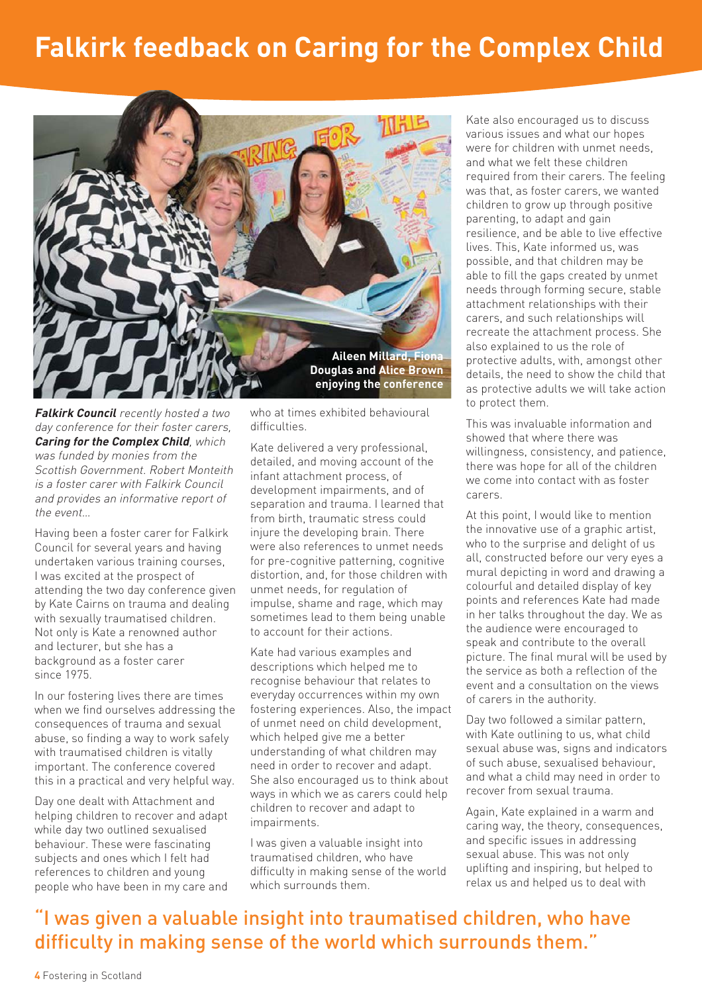## **Falkirk feedback on Caring for the Complex Child**



**Falkirk Council** recently hosted a two day conference for their foster carers, **Caring for the Complex Child**, which was funded by monies from the Scottish Government. Robert Monteith is a foster carer with Falkirk Council and provides an informative report of the event…

Having been a foster carer for Falkirk Council for several years and having undertaken various training courses, I was excited at the prospect of attending the two day conference given by Kate Cairns on trauma and dealing with sexually traumatised children. Not only is Kate a renowned author and lecturer, but she has a background as a foster carer since 1975.

In our fostering lives there are times when we find ourselves addressing the consequences of trauma and sexual abuse, so finding a way to work safely with traumatised children is vitally important. The conference covered this in a practical and very helpful way.

Day one dealt with Attachment and helping children to recover and adapt while day two outlined sexualised behaviour. These were fascinating subjects and ones which I felt had references to children and young people who have been in my care and

who at times exhibited behavioural difficulties.

Kate delivered a very professional, detailed, and moving account of the infant attachment process, of development impairments, and of separation and trauma. I learned that from birth, traumatic stress could injure the developing brain. There were also references to unmet needs for pre-cognitive patterning, cognitive distortion, and, for those children with unmet needs, for regulation of impulse, shame and rage, which may sometimes lead to them being unable to account for their actions.

Kate had various examples and descriptions which helped me to recognise behaviour that relates to everyday occurrences within my own fostering experiences. Also, the impact of unmet need on child development, which helped give me a better understanding of what children may need in order to recover and adapt. She also encouraged us to think about ways in which we as carers could help children to recover and adapt to impairments.

I was given a valuable insight into traumatised children, who have difficulty in making sense of the world which surrounds them.

Kate also encouraged us to discuss various issues and what our hopes were for children with unmet needs, and what we felt these children required from their carers. The feeling was that, as foster carers, we wanted children to grow up through positive parenting, to adapt and gain resilience, and be able to live effective lives. This, Kate informed us, was possible, and that children may be able to fill the gaps created by unmet needs through forming secure, stable attachment relationships with their carers, and such relationships will recreate the attachment process. She also explained to us the role of protective adults, with, amongst other details, the need to show the child that as protective adults we will take action to protect them.

This was invaluable information and showed that where there was willingness, consistency, and patience, there was hope for all of the children we come into contact with as foster carers.

At this point, I would like to mention the innovative use of a graphic artist, who to the surprise and delight of us all, constructed before our very eyes a mural depicting in word and drawing a colourful and detailed display of key points and references Kate had made in her talks throughout the day. We as the audience were encouraged to speak and contribute to the overall picture. The final mural will be used by the service as both a reflection of the event and a consultation on the views of carers in the authority.

Day two followed a similar pattern, with Kate outlining to us, what child sexual abuse was, signs and indicators of such abuse, sexualised behaviour, and what a child may need in order to recover from sexual trauma.

Again, Kate explained in a warm and caring way, the theory, consequences, and specific issues in addressing sexual abuse. This was not only uplifting and inspiring, but helped to relax us and helped us to deal with

### "I was given a valuable insight into traumatised children, who have difficulty in making sense of the world which surrounds them."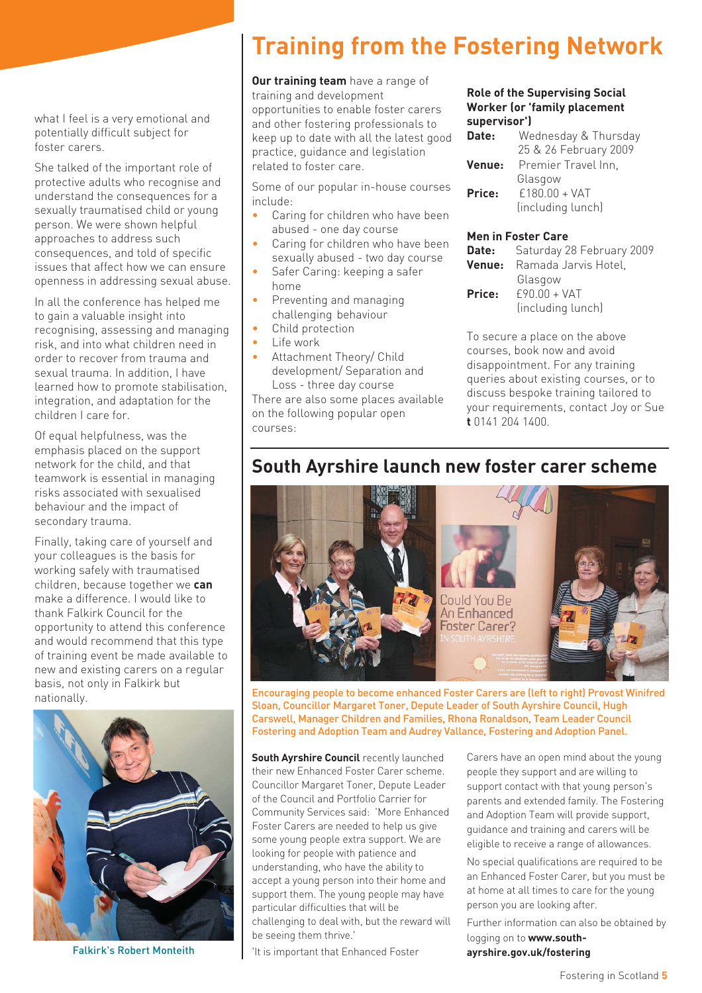#### what I feel is a very emotional and potentially difficult subject for foster carers.

She talked of the important role of protective adults who recognise and understand the consequences for a sexually traumatised child or young person. We were shown helpful approaches to address such consequences, and told of specific issues that affect how we can ensure openness in addressing sexual abuse.

In all the conference has helped me to gain a valuable insight into recognising, assessing and managing risk, and into what children need in order to recover from trauma and sexual trauma. In addition, I have learned how to promote stabilisation, integration, and adaptation for the children I care for.

Of equal helpfulness, was the emphasis placed on the support network for the child, and that teamwork is essential in managing risks associated with sexualised behaviour and the impact of secondary trauma.

Finally, taking care of yourself and your colleagues is the basis for working safely with traumatised children, because together we **can** make a difference. I would like to thank Falkirk Council for the opportunity to attend this conference and would recommend that this type of training event be made available to new and existing carers on a regular basis, not only in Falkirk but nationally.



Falkirk's Robert Monteith

### **Training from the Fostering Network**

**Our training team** have a range of training and development opportunities to enable foster carers and other fostering professionals to keep up to date with all the latest good practice, guidance and legislation related to foster care.

Some of our popular in-house courses include:

- Caring for children who have been abused - one day course
- Caring for children who have been sexually abused - two day course
- Safer Caring: keeping a safer home
- Preventing and managing challenging behaviour
- Child protection
- Life work
- Attachment Theory/ Child development/ Separation and Loss - three day course

There are also some places available on the following popular open courses:

#### **Role of the Supervising Social Worker (or 'family placement supervisor')**

| Date:  | Wednesday & Thursday  |
|--------|-----------------------|
|        | 25 & 26 February 2009 |
| Venue: | Premier Travel Inn.   |
|        | Glasgow               |
| Price: | $f18000 + VAT$        |
|        | (including lunch)     |

#### **Men in Foster Care**

| Date:  | Saturday 28 February 2009 |
|--------|---------------------------|
| Venue: | Ramada Jarvis Hotel.      |
|        | Glasgow                   |
| Price: | $f9000 + VAT$             |
|        | (including lunch)         |

To secure a place on the above courses, book now and avoid disappointment. For any training queries about existing courses, or to discuss bespoke training tailored to your requirements, contact Joy or Sue **t** 0141 204 1400.

### **South Ayrshire launch new foster carer scheme**



Encouraging people to become enhanced Foster Carers are (left to right) Provost Winifred Sloan, Councillor Margaret Toner, Depute Leader of South Ayrshire Council, Hugh Carswell, Manager Children and Families, Rhona Ronaldson, Team Leader Council Fostering and Adoption Team and Audrey Vallance, Fostering and Adoption Panel.

**South Ayrshire Council** recently launched their new Enhanced Foster Carer scheme. Councillor Margaret Toner, Depute Leader of the Council and Portfolio Carrier for Community Services said: 'More Enhanced Foster Carers are needed to help us give some young people extra support. We are looking for people with patience and understanding, who have the ability to accept a young person into their home and support them. The young people may have particular difficulties that will be challenging to deal with, but the reward will be seeing them thrive.'

'It is important that Enhanced Foster

Carers have an open mind about the young people they support and are willing to support contact with that young person's parents and extended family. The Fostering and Adoption Team will provide support, guidance and training and carers will be eligible to receive a range of allowances.

No special qualifications are required to be an Enhanced Foster Carer, but you must be at home at all times to care for the young person you are looking after.

Further information can also be obtained by logging on to **www.southayrshire.gov.uk/fostering**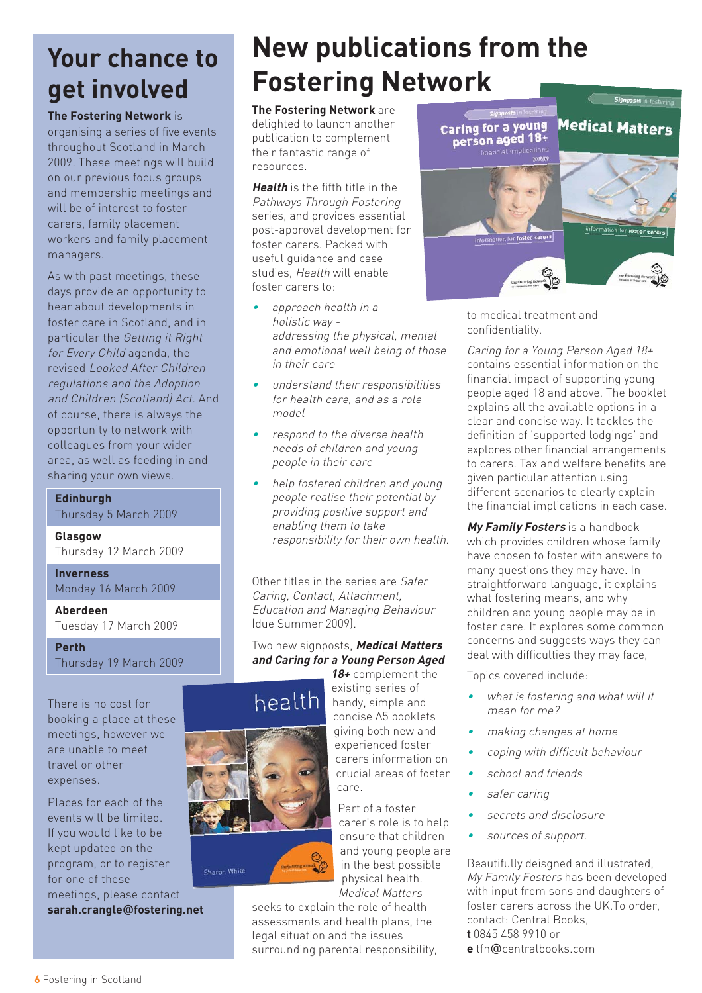### **Your chance to get involved**

#### **The Fostering Network** is

organising a series of five events throughout Scotland in March 2009. These meetings will build on our previous focus groups and membership meetings and will be of interest to foster carers, family placement workers and family placement managers.

As with past meetings, these days provide an opportunity to hear about developments in foster care in Scotland, and in particular the Getting it Right for Every Child agenda, the revised Looked After Children regulations and the Adoption and Children (Scotland) Act. And of course, there is always the opportunity to network with colleagues from your wider area, as well as feeding in and sharing your own views.

#### **Edinburgh**

Thursday 5 March 2009

**Glasgow**  Thursday 12 March 2009

#### **Inverness** Monday 16 March 2009

**Aberdeen**  Tuesday 17 March 2009

**Perth**  Thursday 19 March 2009

There is no cost for booking a place at these meetings, however we are unable to meet travel or other expenses.

Places for each of the events will be limited. If you would like to be kept updated on the program, or to register for one of these meetings, please contact **sarah.crangle@fostering.net**

## **New publications from the Fostering Network**

**The Fostering Network** are delighted to launch another publication to complement their fantastic range of resources.

**Health** is the fifth title in the Pathways Through Fostering series, and provides essential post-approval development for foster carers. Packed with useful guidance and case studies, Health will enable foster carers to:

- • approach health in a holistic way addressing the physical, mental and emotional well being of those in their care
- • understand their responsibilities for health care, and as a role model
- • respond to the diverse health needs of children and young people in their care
- • help fostered children and young people realise their potential by providing positive support and enabling them to take responsibility for their own health.

Other titles in the series are Safer Caring, Contact, Attachment, Education and Managing Behaviour (due Summer 2009).

#### Two new signposts, **Medical Matters and Caring for a Young Person Aged**

**18+** complement the existing series of handy, simple and concise A5 booklets giving both new and experienced foster carers information on crucial areas of foster care.

Part of a foster carer's role is to help ensure that children and young people are in the best possible physical health. Medical Matters

seeks to explain the role of health assessments and health plans, the legal situation and the issues surrounding parental responsibility,



to medical treatment and confidentiality.

Caring for a Young Person Aged 18+ contains essential information on the financial impact of supporting young people aged 18 and above. The booklet explains all the available options in a clear and concise way. It tackles the definition of 'supported lodgings' and explores other financial arrangements to carers. Tax and welfare benefits are given particular attention using different scenarios to clearly explain the financial implications in each case.

**My Family Fosters** is a handbook which provides children whose family have chosen to foster with answers to many questions they may have. In straightforward language, it explains what fostering means, and why children and young people may be in foster care. It explores some common concerns and suggests ways they can deal with difficulties they may face,

Topics covered include:

- • what is fostering and what will it mean for me?
- •making changes at home
- •coping with difficult behaviour
- •school and friends
- •safer caring
- •secrets and disclosure
- •sources of support.

Beautifully deisgned and illustrated, My Family Fosters has been developed with input from sons and daughters of foster carers across the UK.To order, contact: Central Books, **t** 0845 458 9910 or

**e** tfn@centralbooks.com

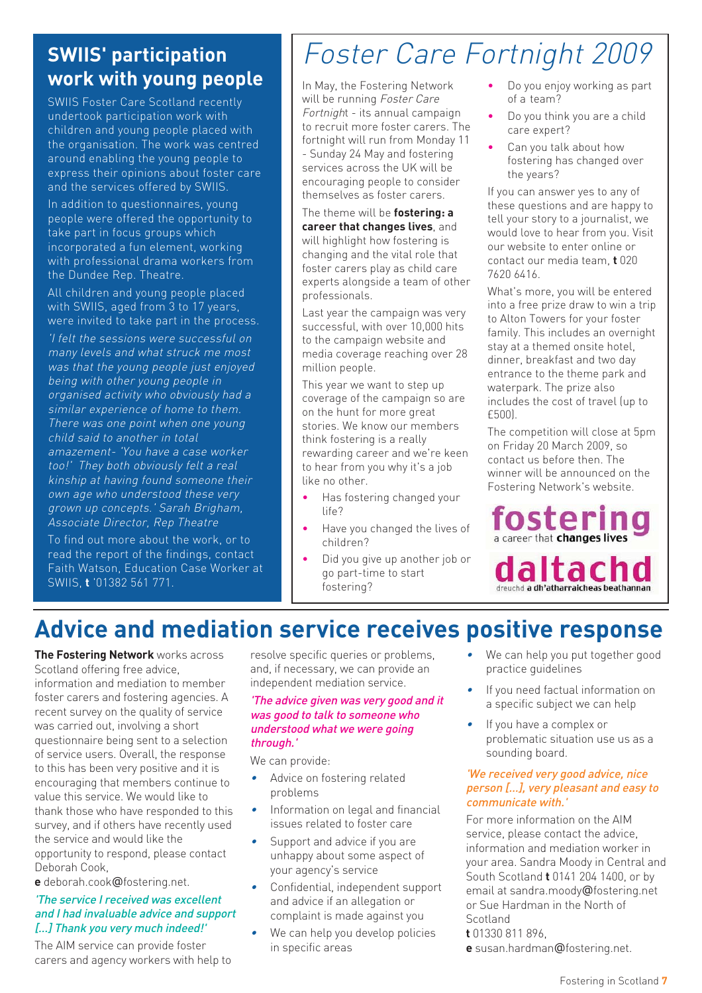### **SWIIS' participation work with young people**

SWIIS Foster Care Scotland recently undertook participation work with children and young people placed with the organisation. The work was centred around enabling the young people to express their opinions about foster care and the services offered by SWIIS.

In addition to questionnaires, young people were offered the opportunity to take part in focus groups which incorporated a fun element, working with professional drama workers from the Dundee Rep. Theatre.

All children and young people placed with SWIIS, aged from 3 to 17 years, were invited to take part in the process.

'I felt the sessions were successful on many levels and what struck me most was that the young people just enjoyed being with other young people in organised activity who obviously had a similar experience of home to them. There was one point when one young child said to another in total amazement- 'You have a case worker too!' They both obviously felt a real kinship at having found someone their own age who understood these very grown up concepts.' Sarah Brigham, Associate Director, Rep Theatre

To find out more about the work, or to read the report of the findings, contact Faith Watson, Education Case Worker at SWIIS, **t** '01382 561 771.

# Foster Care Fortnight 2009

In May, the Fostering Network will be running Foster Care Fortnight - its annual campaign to recruit more foster carers. The fortnight will run from Monday 11 - Sunday 24 May and fostering services across the UK will be encouraging people to consider themselves as foster carers.

The theme will be **fostering: a career that changes lives**, and will highlight how fostering is changing and the vital role that foster carers play as child care experts alongside a team of other professionals.

Last year the campaign was very successful, with over 10,000 hits to the campaign website and media coverage reaching over 28 million people.

This year we want to step up coverage of the campaign so are on the hunt for more great stories. We know our members think fostering is a really rewarding career and we're keen to hear from you why it's a job like no other.

- Has fostering changed your life?
- Have you changed the lives of children?
- Did you give up another job or go part-time to start fostering?
- Do you enjoy working as part of a team?
- Do you think you are a child care expert?
- Can you talk about how fostering has changed over the years?

If you can answer yes to any of these questions and are happy to tell your story to a journalist, we would love to hear from you. Visit our website to enter online or contact our media team, **t** 020 7620 6416.

What's more, you will be entered into a free prize draw to win a trip to Alton Towers for your foster family. This includes an overnight stay at a themed onsite hotel, dinner, breakfast and two day entrance to the theme park and waterpark. The prize also includes the cost of travel (up to £500).

The competition will close at 5pm on Friday 20 March 2009, so contact us before then. The winner will be announced on the Fostering Network's website.

**foster In** dreuchd a dh'atharraicheas beathannan

### **Advice and mediation service receives positive response**

**The Fostering Network** works across Scotland offering free advice, information and mediation to member foster carers and fostering agencies. A recent survey on the quality of service was carried out, involving a short questionnaire being sent to a selection of service users. Overall, the response to this has been very positive and it is encouraging that members continue to value this service. We would like to thank those who have responded to this survey, and if others have recently used the service and would like the opportunity to respond, please contact Deborah Cook,

**e** deborah.cook@fostering.net.

#### 'The service I received was excellent and I had invaluable advice and support [...] Thank you very much indeed!'

The AIM service can provide foster carers and agency workers with help to resolve specific queries or problems, and, if necessary, we can provide an independent mediation service.

#### 'The advice given was very good and it was good to talk to someone who understood what we were going through.'

We can provide:

- • Advice on fostering related problems
- • Information on legal and financial issues related to foster care
- • Support and advice if you are unhappy about some aspect of your agency's service
- • Confidential, independent support and advice if an allegation or complaint is made against you
- •We can help you develop policies in specific areas
- • We can help you put together good practice guidelines
- • If you need factual information on a specific subject we can help
- • If you have a complex or problematic situation use us as a sounding board.

#### 'We received very good advice, nice person […], very pleasant and easy to communicate with.'

For more information on the AIM service, please contact the advice, information and mediation worker in your area. Sandra Moody in Central and South Scotland **t** 0141 204 1400, or by email at sandra.moody@fostering.net or Sue Hardman in the North of **Scotland** 

**t** 01330 811 896,

**e** susan.hardman@fostering.net.